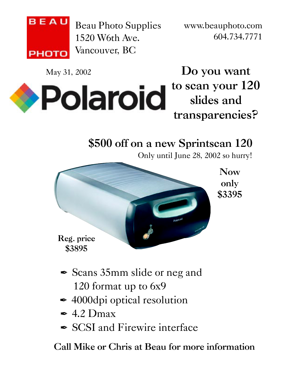

Beau Photo Supplies 1520 W6th Ave. Vancouver, BC

www.beauphoto.com 604.734.7771

May 31, 2002



**Do you want to scan your 120 slides and transparencies?**

## **\$500 off on a new Sprintscan 120**

Only until June 28, 2002 so hurry!



**Reg. price \$3895**

- **∕** Scans 35mm slide or neg and 120 format up to 6x9
- </del> 4000dpi optical resolution
- $\angle$  4.2 Dmax
- **∕ SCSI** and Firewire interface

**Call Mike or Chris at Beau for more information**